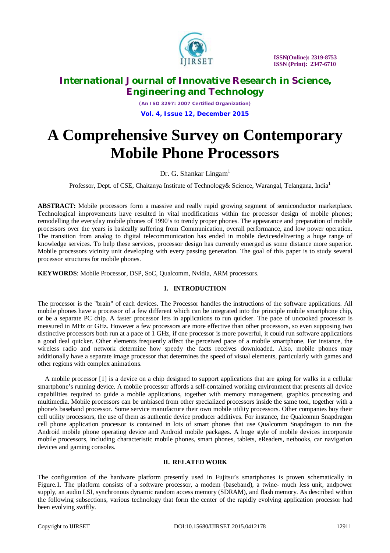

*(An ISO 3297: 2007 Certified Organization)* **Vol. 4, Issue 12, December 2015**

# **A Comprehensive Survey on Contemporary Mobile Phone Processors**

Dr. G. Shankar Lingam<sup>1</sup>

Professor, Dept. of CSE, Chaitanya Institute of Technology & Science, Warangal, Telangana, India<sup>1</sup>

**ABSTRACT:** Mobile processors form a massive and really rapid growing segment of semiconductor marketplace. Technological improvements have resulted in vital modifications within the processor design of mobile phones; remodelling the everyday mobile phones of 1990's to trendy proper phones. The appearance and preparation of mobile processors over the years is basically suffering from Communication, overall performance, and low power operation. The transition from analog to digital telecommunication has ended in mobile devicesdelivering a huge range of knowledge services. To help these services, processor design has currently emerged as some distance more superior. Mobile processors vicinity unit developing with every passing generation. The goal of this paper is to study several processor structures for mobile phones.

**KEYWORDS**: Mobile Processor, DSP, SoC, Qualcomm, Nvidia, ARM processors.

### **I. INTRODUCTION**

The processor is the "brain" of each devices. The Processor handles the instructions of the software applications. All mobile phones have a processor of a few different which can be integrated into the principle mobile smartphone chip, or be a separate PC chip. A faster processor lets in applications to run quicker. The pace of uncooked processor is measured in MHz or GHz. However a few processors are more effective than other processors, so even supposing two distinctive processors both run at a pace of 1 GHz, if one processor is more powerful, it could run software applications a good deal quicker. Other elements frequently affect the perceived pace of a mobile smartphone, For instance, the wireless radio and network determine how speedy the facts receives downloaded. Also, mobile phones may additionally have a separate image processor that determines the speed of visual elements, particularly with games and other regions with complex animations.

A mobile processor [1] is a device on a chip designed to support applications that are going for walks in a cellular smartphone's running device. A mobile processor affords a self-contained working environment that presents all device capabilities required to guide a mobile applications, together with memory management, graphics processing and multimedia. Mobile processors can be unbiased from other specialized processors inside the same tool, together with a phone's baseband processor. Some service manufacture their own mobile utility processors. Other companies buy their cell utility processors, the use of them as authentic device producer additives. For instance, the Qualcomm Snapdragon cell phone application processor is contained in lots of smart phones that use Qualcomm Snapdragon to run the Android mobile phone operating device and Android mobile packages. A huge style of mobile devices incorporate mobile processors, including characteristic mobile phones, smart phones, tablets, eReaders, netbooks, car navigation devices and gaming consoles.

#### **II. RELATED WORK**

The configuration of the hardware platform presently used in Fujitsu's smartphones is proven schematically in Figure.1. The platform consists of a software processor, a modem (baseband), a twine- much less unit, andpower supply, an audio LSI, synchronous dynamic random access memory (SDRAM), and flash memory. As described within the following subsections, various technology that form the center of the rapidly evolving application processor had been evolving swiftly.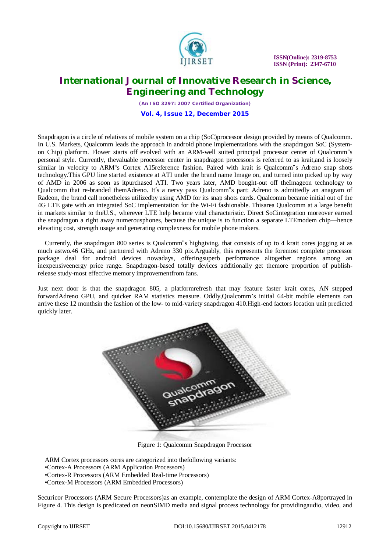

 **ISSN(Online): 2319-8753 ISSN (Print): 2347-6710**

### **International Journal of Innovative Research in Science, Engineering and Technology**

*(An ISO 3297: 2007 Certified Organization)* **Vol. 4, Issue 12, December 2015**

Snapdragon is a circle of relatives of mobile system on a chip (SoC)processor design provided by means of Qualcomm. In U.S. Markets, Qualcomm leads the approach in android phone implementations with the snapdragon SoC (Systemon Chip) platform. Flower starts off evolved with an ARM-well suited principal processor center of Qualcomm"s personal style. Currently, thevaluable processor center in snapdragon processors is referred to as krait,and is loosely similar in velocity to ARM"s Cortex A15reference fashion. Paired with krait is Qualcomm"s Adreno snap shots technology.This GPU line started existence at ATI under the brand name Image on, and turned into picked up by way of AMD in 2006 as soon as itpurchased ATI. Two years later, AMD bought-out off theImageon technology to Qualcomm that re-branded themAdreno. It's a nervy pass Qualcomm"s part: Adreno is admittedly an anagram of Radeon, the brand call nonetheless utilizedby using AMD for its snap shots cards. Qualcomm became initial out of the 4G LTE gate with an integrated SoC implementation for the Wi-Fi fashionable. Thisarea Qualcomm at a large benefit in markets similar to theU.S., wherever LTE help became vital characteristic. Direct SoCintegration moreover earned the snapdragon a right away numerousphones, because the unique is to function a separate LTEmodem chip—hence elevating cost, strength usage and generating complexness for mobile phone makers.

Currently, the snapdragon 800 series is Qualcomm"s highgiving, that consists of up to 4 krait cores jogging at as much astwo.46 GHz, and partnered with Adreno 330 pix.Arguably, this represents the foremost complete processor package deal for android devices nowadays, offeringsuperb performance altogether regions among an inexpensiveenergy price range. Snapdragon-based totally devices additionally get themore proportion of publishrelease study-most effective memory improvementfrom fans.

Just next door is that the snapdragon 805, a platformrefresh that may feature faster krait cores, AN stepped forwardAdreno GPU, and quicker RAM statistics measure. Oddly,Qualcomm's initial 64-bit mobile elements can arrive these 12 monthsin the fashion of the low- to mid-variety snapdragon 410.High-end factors location unit predicted quickly later.



Figure 1: Qualcomm Snapdragon Processor

ARM Cortex processors cores are categorized into thefollowing variants:

•Cortex-R Processors (ARM Embedded Real-time Processors)

•Cortex-M Processors (ARM Embedded Processors)

Securicor Processors (ARM Secure Processors)as an example, contemplate the design of ARM Cortex-A8portrayed in Figure 4. This design is predicated on neonSIMD media and signal process technology for providingaudio, video, and

<sup>•</sup>Cortex-A Processors (ARM Application Processors)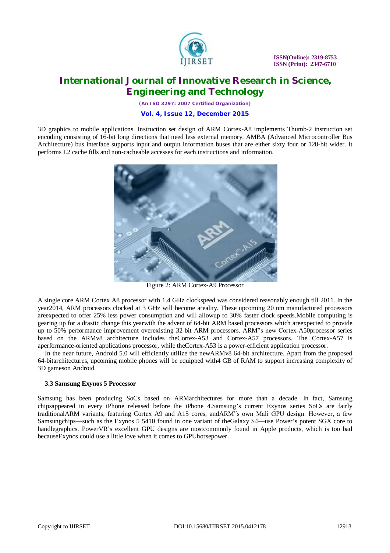

*(An ISO 3297: 2007 Certified Organization)*

**Vol. 4, Issue 12, December 2015**

3D graphics to mobile applications. Instruction set design of ARM Cortex-A8 implements Thumb-2 instruction set encoding consisting of 16-bit long directions that need less external memory. AMBA (Advanced Microcontroller Bus Architecture) bus interface supports input and output information buses that are either sixty four or 128-bit wider. It performs L2 cache fills and non-cacheable accesses for each instructions and information.



Figure 2: ARM Cortex-A9 Processor

A single core ARM Cortex A8 processor with 1.4 GHz clockspeed was considered reasonably enough till 2011. In the year2014, ARM processors clocked at 3 GHz will become areality. These upcoming 20 nm manufactured processors areexpected to offer 25% less power consumption and will allowup to 30% faster clock speeds.Mobile computing is gearing up for a drastic change this yearwith the advent of 64-bit ARM based processors which areexpected to provide up to 50% performance improvement overexisting 32-bit ARM processors. ARM"s new Cortex-A50processor series based on the ARMv8 architecture includes theCortex-A53 and Cortex-A57 processors. The Cortex-A57 is aperformance-oriented applications processor, while theCortex-A53 is a power-efficient application processor.

In the near future, Android 5.0 will efficiently utilize the newARMv8 64-bit architecture. Apart from the proposed 64-bitarchitectures, upcoming mobile phones will be equipped with4 GB of RAM to support increasing complexity of 3D gameson Android.

#### **3.3 Samsung Exynos 5 Processor**

Samsung has been producing SoCs based on ARMarchitectures for more than a decade. In fact, Samsung chipsappeared in every iPhone released before the iPhone 4.Samsung's current Exynos series SoCs are fairly traditionalARM variants, featuring Cortex A9 and A15 cores, andARM"s own Mali GPU design. However, a few Samsungchips—such as the Exynos 5 5410 found in one variant of theGalaxy S4—use Power's potent SGX core to handlegraphics. PowerVR's excellent GPU designs are mostcommonly found in Apple products, which is too bad becauseExynos could use a little love when it comes to GPUhorsepower.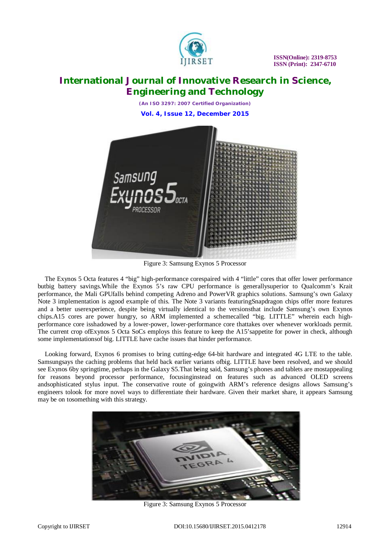

*(An ISO 3297: 2007 Certified Organization)* **Vol. 4, Issue 12, December 2015**



Figure 3: Samsung Exynos 5 Processor

The Exynos 5 Octa features 4 "big" high-performance corespaired with 4 "little" cores that offer lower performance butbig battery savings.While the Exynos 5's raw CPU performance is generallysuperior to Qualcomm's Krait performance, the Mali GPUfalls behind competing Adreno and PowerVR graphics solutions. Samsung's own Galaxy Note 3 implementation is agood example of this. The Note 3 variants featuringSnapdragon chips offer more features and a better userexperience, despite being virtually identical to the versionsthat include Samsung's own Exynos chips.A15 cores are power hungry, so ARM implemented a schemecalled "big. LITTLE" wherein each highperformance core isshadowed by a lower-power, lower-performance core thattakes over whenever workloads permit. The current crop ofExynos 5 Octa SoCs employs this feature to keep the A15'sappetite for power in check, although some implementationsof big. LITTLE have cache issues that hinder performance.

Looking forward, Exynos 6 promises to bring cutting-edge 64-bit hardware and integrated 4G LTE to the table. Samsungsays the caching problems that held back earlier variants ofbig. LITTLE have been resolved, and we should see Exynos 6by springtime, perhaps in the Galaxy S5.That being said, Samsung's phones and tablets are mostappealing for reasons beyond processor performance, focusinginstead on features such as advanced OLED screens andsophisticated stylus input. The conservative route of goingwith ARM's reference designs allows Samsung's engineers tolook for more novel ways to differentiate their hardware. Given their market share, it appears Samsung may be on tosomething with this strategy.



Figure 3: Samsung Exynos 5 Processor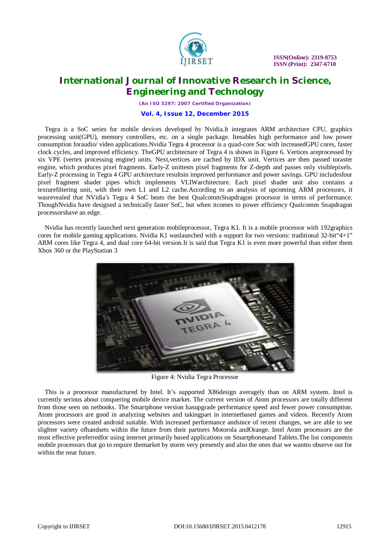

 **ISSN(Online): 2319-8753 ISSN (Print): 2347-6710**

### **International Journal of Innovative Research in Science, Engineering and Technology**

*(An ISO 3297: 2007 Certified Organization)*

#### **Vol. 4, Issue 12, December 2015**

Tegra is a SoC series for mobile devices developed by Nvidia.It integrates ARM architecture CPU, graphics processing unit(GPU), memory controllers, etc. on a single package. Itenables high performance and low power consumption foraudio/ video applications.Nvidia Tegra 4 processor is a quad-core Soc with increasedGPU cores, faster clock cycles, and improved efficiency. TheGPU architecture of Tegra 4 is shown in Figure 6. Vertices areprocessed by six VPE (vertex processing engine) units. Next,vertices are cached by IDX unit. Vertices are then passed toraster engine, which produces pixel fragments. Early-Z unittests pixel fragments for Z-depth and passes only visiblepixels. Early-Z processing in Tegra 4 GPU architecture resultsin improved performance and power savings. GPU includesfour pixel fragment shader pipes which implements VLIWarchitecture. Each pixel shader unit also contains a texturefiltering unit, with their own L1 and L2 cache.According to an analysis of upcoming ARM processors, it wasrevealed that NVidia's Tegra 4 SoC beats the best QualcommSnapdragon processor in terms of performance. ThoughNvidia have designed a technically faster SoC, but when itcomes to power efficiency Qualcomm Snapdragon processorshave an edge.

Nvidia has recently launched next generation mobileprocessor, Tegra K1. It is a mobile processor with 192graphics cores for mobile gaming applications. Nvidia K1 waslaunched with a support for two versions: traditional 32-bit 4+1" ARM cores like Tegra 4, and dual core 64-bit version.It is said that Tegra K1 is even more powerful than either them Xbox 360 or the PlayStation 3



Figure 4: Nvidia Tegra Processor

This is a processor manufactured by Intel. It's supported X86design averagely than on ARM system. Intel is currently serious about conquering mobile device market. The current version of Atom processors are totally different from those seen on netbooks. The Smartphone version hasupgrade performance speed and fewer power consumption. Atom processors are good in analyzing websites and takingpart in internetbased games and videos. Recently Atom processors were created android suitable. With increased performance andsince of recent changes, we are able to see slighter variety ofhandsets within the future from their partners Motorola andOrange. Intel Atom processors are the most effective preferredfor using internet primarily based applications on Smartphonesand Tablets.The list components mobile processors that go to require themarket by storm very presently and also the ones that we wantto observe out for within the near future.